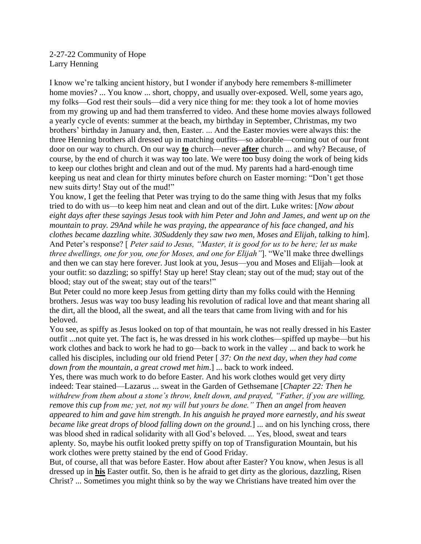2-27-22 Community of Hope Larry Henning

I know we're talking ancient history, but I wonder if anybody here remembers 8-millimeter home movies? ... You know ... short, choppy, and usually over-exposed. Well, some years ago, my folks—God rest their souls—did a very nice thing for me: they took a lot of home movies from my growing up and had them transferred to video. And these home movies always followed a yearly cycle of events: summer at the beach, my birthday in September, Christmas, my two brothers' birthday in January and, then, Easter. ... And the Easter movies were always this: the three Henning brothers all dressed up in matching outfits—so adorable—coming out of our front door on our way to church. On our way **to** church—never **after** church ... and why? Because, of course, by the end of church it was way too late. We were too busy doing the work of being kids to keep our clothes bright and clean and out of the mud. My parents had a hard-enough time keeping us neat and clean for thirty minutes before church on Easter morning: "Don't get those new suits dirty! Stay out of the mud!"

You know, I get the feeling that Peter was trying to do the same thing with Jesus that my folks tried to do with us—to keep him neat and clean and out of the dirt. Luke writes: [*Now about eight days after these sayings Jesus took with him Peter and John and James, and went up on the mountain to pray. 29And while he was praying, the appearance of his face changed, and his clothes became dazzling white. 30Suddenly they saw two men, Moses and Elijah, talking to him*]. And Peter's response? [ *Peter said to Jesus, "Master, it is good for us to be here; let us make three dwellings, one for you, one for Moses, and one for Elijah"*]. "We'll make three dwellings and then we can stay here forever. Just look at you, Jesus—you and Moses and Elijah—look at your outfit: so dazzling; so spiffy! Stay up here! Stay clean; stay out of the mud; stay out of the blood; stay out of the sweat; stay out of the tears!"

But Peter could no more keep Jesus from getting dirty than my folks could with the Henning brothers. Jesus was way too busy leading his revolution of radical love and that meant sharing all the dirt, all the blood, all the sweat, and all the tears that came from living with and for his beloved.

You see, as spiffy as Jesus looked on top of that mountain, he was not really dressed in his Easter outfit ...not quite yet. The fact is, he was dressed in his work clothes—spiffed up maybe—but his work clothes and back to work he had to go—back to work in the valley ... and back to work he called his disciples, including our old friend Peter [ *37: On the next day, when they had come down from the mountain, a great crowd met him*.] ... back to work indeed.

Yes, there was much work to do before Easter. And his work clothes would get very dirty indeed: Tear stained—Lazarus ... sweat in the Garden of Gethsemane [*Chapter 22: Then he withdrew from them about a stone's throw, knelt down, and prayed, "Father, if you are willing, remove this cup from me; yet, not my will but yours be done." Then an angel from heaven appeared to him and gave him strength. In his anguish he prayed more earnestly, and his sweat became like great drops of blood falling down on the ground.*] ... and on his lynching cross, there was blood shed in radical solidarity with all God's beloved. ... Yes, blood, sweat and tears aplenty. So, maybe his outfit looked pretty spiffy on top of Transfiguration Mountain, but his work clothes were pretty stained by the end of Good Friday.

But, of course, all that was before Easter. How about after Easter? You know, when Jesus is all dressed up in **his** Easter outfit. So, then is he afraid to get dirty as the glorious, dazzling, Risen Christ? ... Sometimes you might think so by the way we Christians have treated him over the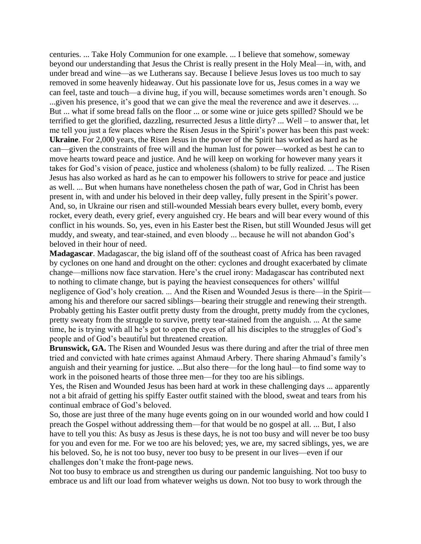centuries. ... Take Holy Communion for one example. ... I believe that somehow, someway beyond our understanding that Jesus the Christ is really present in the Holy Meal—in, with, and under bread and wine—as we Lutherans say. Because I believe Jesus loves us too much to say removed in some heavenly hideaway. Out his passionate love for us, Jesus comes in a way we can feel, taste and touch—a divine hug, if you will, because sometimes words aren't enough. So ...given his presence, it's good that we can give the meal the reverence and awe it deserves. ... But ... what if some bread falls on the floor ... or some wine or juice gets spilled? Should we be terrified to get the glorified, dazzling, resurrected Jesus a little dirty? ... Well – to answer that, let me tell you just a few places where the Risen Jesus in the Spirit's power has been this past week: **Ukraine**. For 2,000 years, the Risen Jesus in the power of the Spirit has worked as hard as he can—given the constraints of free will and the human lust for power—worked as best he can to move hearts toward peace and justice. And he will keep on working for however many years it takes for God's vision of peace, justice and wholeness (shalom) to be fully realized. ... The Risen Jesus has also worked as hard as he can to empower his followers to strive for peace and justice as well. ... But when humans have nonetheless chosen the path of war, God in Christ has been present in, with and under his beloved in their deep valley, fully present in the Spirit's power. And, so, in Ukraine our risen and still-wounded Messiah bears every bullet, every bomb, every rocket, every death, every grief, every anguished cry. He bears and will bear every wound of this conflict in his wounds. So, yes, even in his Easter best the Risen, but still Wounded Jesus will get muddy, and sweaty, and tear-stained, and even bloody ... because he will not abandon God's beloved in their hour of need.

**Madagascar**. Madagascar, the big island off of the southeast coast of Africa has been ravaged by cyclones on one hand and drought on the other: cyclones and drought exacerbated by climate change—millions now face starvation. Here's the cruel irony: Madagascar has contributed next to nothing to climate change, but is paying the heaviest consequences for others' willful negligence of God's holy creation. ... And the Risen and Wounded Jesus is there—in the Spirit among his and therefore our sacred siblings—bearing their struggle and renewing their strength. Probably getting his Easter outfit pretty dusty from the drought, pretty muddy from the cyclones, pretty sweaty from the struggle to survive, pretty tear-stained from the anguish. ... At the same time, he is trying with all he's got to open the eyes of all his disciples to the struggles of God's people and of God's beautiful but threatened creation.

**Brunswick, GA.** The Risen and Wounded Jesus was there during and after the trial of three men tried and convicted with hate crimes against Ahmaud Arbery. There sharing Ahmaud's family's anguish and their yearning for justice. ...But also there—for the long haul—to find some way to work in the poisoned hearts of those three men—for they too are his siblings.

Yes, the Risen and Wounded Jesus has been hard at work in these challenging days ... apparently not a bit afraid of getting his spiffy Easter outfit stained with the blood, sweat and tears from his continual embrace of God's beloved.

So, those are just three of the many huge events going on in our wounded world and how could I preach the Gospel without addressing them—for that would be no gospel at all. ... But, I also have to tell you this: As busy as Jesus is these days, he is not too busy and will never be too busy for you and even for me. For we too are his beloved; yes, we are, my sacred siblings, yes, we are his beloved. So, he is not too busy, never too busy to be present in our lives—even if our challenges don't make the front-page news.

Not too busy to embrace us and strengthen us during our pandemic languishing. Not too busy to embrace us and lift our load from whatever weighs us down. Not too busy to work through the